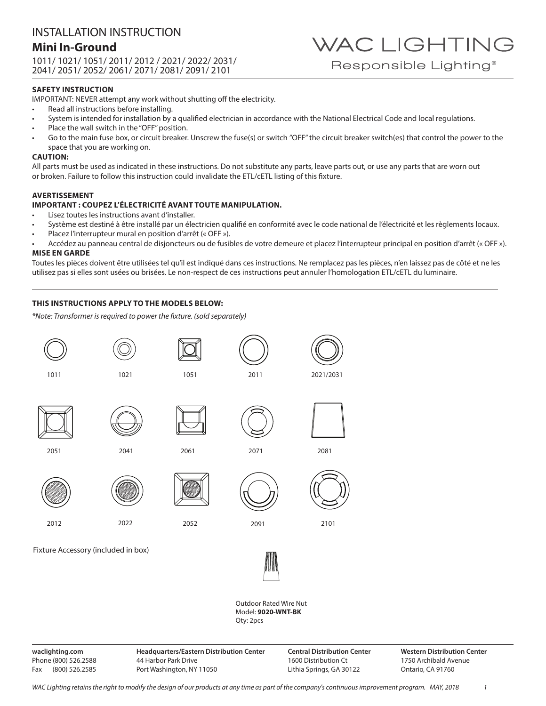### INSTALLATION INSTRUCTION **Mini In-Ground** 1011/ 1021/ 1051/ 2011/ 2012 / 2021/ 2022/ 2031/

2041/ 2051/ 2052/ 2061/ 2071/ 2081/ 2091/ 2101

### **SAFETY INSTRUCTION**

IMPORTANT: NEVER attempt any work without shutting off the electricity.

- Read all instructions before installing.
- System is intended for installation by a qualified electrician in accordance with the National Electrical Code and local regulations.
- Place the wall switch in the "OFF" position.
- Go to the main fuse box, or circuit breaker. Unscrew the fuse(s) or switch "OFF" the circuit breaker switch(es) that control the power to the space that you are working on.

#### **CAUTION:**

All parts must be used as indicated in these instructions. Do not substitute any parts, leave parts out, or use any parts that are worn out or broken. Failure to follow this instruction could invalidate the ETL/cETL listing of this fixture.

### **AVERTISSEMENT**

### **IMPORTANT : COUPEZ L'ÉLECTRICITÉ AVANT TOUTE MANIPULATION.**

- Lisez toutes les instructions avant d'installer.
- Système est destiné à être installé par un électricien qualifié en conformité avec le code national de l'électricité et les règlements locaux.
- Placez l'interrupteur mural en position d'arrêt (« OFF »).
- Accédez au panneau central de disjoncteurs ou de fusibles de votre demeure et placez l'interrupteur principal en position d'arrêt (« OFF »). **MISE EN GARDE**

Toutes les pièces doivent être utilisées tel qu'il est indiqué dans ces instructions. Ne remplacez pas les pièces, n'en laissez pas de côté et ne les utilisez pas si elles sont usées ou brisées. Le non-respect de ces instructions peut annuler l'homologation ETL/cETL du luminaire.

### **THIS INSTRUCTIONS APPLY TO THE MODELS BELOW:**

*\*Note: Transformer is required to power the fixture. (sold separately)*





Outdoor Rated Wire Nut Model: **9020-WNT-BK** Qty: 2pcs

**waclighting.com** Phone (800) 526.2588 Fax (800) 526.2585 **Headquarters/Eastern Distribution Center** 44 Harbor Park Drive Port Washington, NY 11050

**Central Distribution Center** 1600 Distribution Ct Lithia Springs, GA 30122

**Western Distribution Center**  1750 Archibald Avenue Ontario, CA 91760

WAC LIGHTING

Responsible Lighting<sup>®</sup>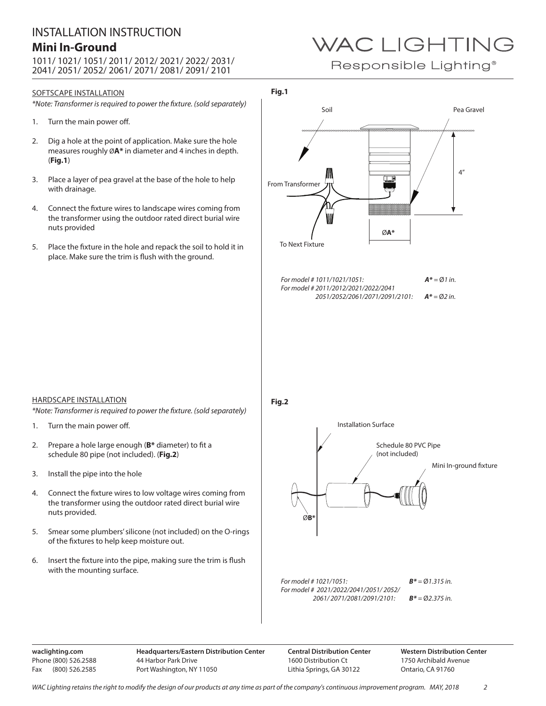## INSTALLATION INSTRUCTION **Mini In-Ground**

1011/ 1021/ 1051/ 2011/ 2012/ 2021/ 2022/ 2031/ 2041/ 2051/ 2052/ 2061/ 2071/ 2081/ 2091/ 2101

### SOFTSCAPE INSTALLATION

*\*Note: Transformer is required to power the fixture. (sold separately)*

- 1. Turn the main power off.
- 2. Dig a hole at the point of application. Make sure the hole measures roughly Ø**A\*** in diameter and 4 inches in depth. (**Fig.1**)
- 3. Place a layer of pea gravel at the base of the hole to help with drainage.
- 4. Connect the fixture wires to landscape wires coming from the transformer using the outdoor rated direct burial wire nuts provided
- 5. Place the fixture in the hole and repack the soil to hold it in place. Make sure the trim is flush with the ground.

# WAC LIGHTING

Responsible Lighting<sup>®</sup>

### **Fig.1**



HARDSCAPE INSTALLATION

*\*Note: Transformer is required to power the fixture. (sold separately)*

- 1. Turn the main power off.
- 2. Prepare a hole large enough (**B\*** diameter) to fit a schedule 80 pipe (not included). (**Fig.2**)
- 3. Install the pipe into the hole
- 4. Connect the fixture wires to low voltage wires coming from the transformer using the outdoor rated direct burial wire nuts provided.
- 5. Smear some plumbers' silicone (not included) on the O-rings of the fixtures to help keep moisture out.
- 6. Insert the fixture into the pipe, making sure the trim is flush with the mounting surface.

**waclighting.com** Phone (800) 526.2588 Fax (800) 526.2585 **Headquarters/Eastern Distribution Center** 44 Harbor Park Drive Port Washington, NY 11050

**Central Distribution Center** 1600 Distribution Ct Lithia Springs, GA 30122

**Western Distribution Center**  1750 Archibald Avenue Ontario, CA 91760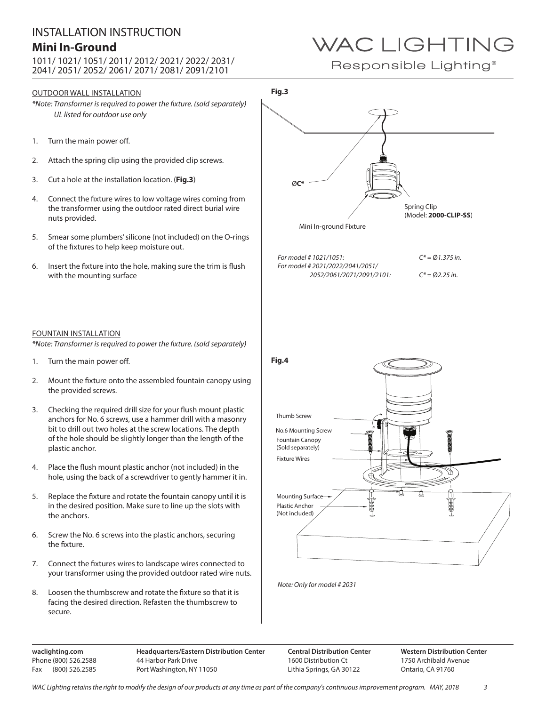## INSTALLATION INSTRUCTION **Mini In-Ground**

1011/ 1021/ 1051/ 2011/ 2012/ 2021/ 2022/ 2031/ 2041/ 2051/ 2052/ 2061/ 2071/ 2081/ 2091/2101

### OUTDOOR WALL INSTALLATION

*\*Note: Transformer is required to power the fixture. (sold separately) UL listed for outdoor use only*

- 1. Turn the main power off.
- 2. Attach the spring clip using the provided clip screws.
- 3. Cut a hole at the installation location. (**Fig.3**)
- 4. Connect the fixture wires to low voltage wires coming from the transformer using the outdoor rated direct burial wire nuts provided.
- 5. Smear some plumbers' silicone (not included) on the O-rings of the fixtures to help keep moisture out.
- 6. Insert the fixture into the hole, making sure the trim is flush with the mounting surface

#### FOUNTAIN INSTALLATION

*\*Note: Transformer is required to power the fixture. (sold separately)*

- 1. Turn the main power off.
- 2. Mount the fixture onto the assembled fountain canopy using the provided screws.
- 3. Checking the required drill size for your flush mount plastic anchors for No. 6 screws, use a hammer drill with a masonry bit to drill out two holes at the screw locations. The depth of the hole should be slightly longer than the length of the plastic anchor.
- 4. Place the flush mount plastic anchor (not included) in the hole, using the back of a screwdriver to gently hammer it in.
- 5. Replace the fixture and rotate the fountain canopy until it is in the desired position. Make sure to line up the slots with the anchors.
- 6. Screw the No. 6 screws into the plastic anchors, securing the fixture.
- 7. Connect the fixtures wires to landscape wires connected to your transformer using the provided outdoor rated wire nuts.
- 8. Loosen the thumbscrew and rotate the fixture so that it is facing the desired direction. Refasten the thumbscrew to secure.

WAC LIGHTING

Responsible Lighting<sup>®</sup>



**waclighting.com** Phone (800) 526.2588 Fax (800) 526.2585

**Headquarters/Eastern Distribution Center** 44 Harbor Park Drive Port Washington, NY 11050

**Central Distribution Center** 1600 Distribution Ct Lithia Springs, GA 30122

**Western Distribution Center**  1750 Archibald Avenue Ontario, CA 91760